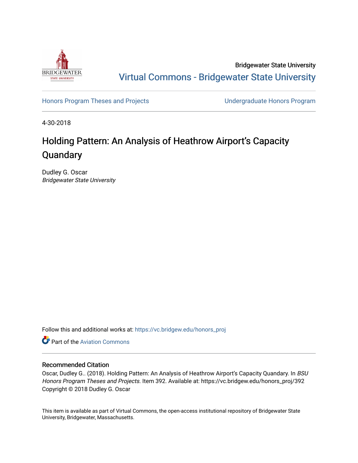

Bridgewater State University [Virtual Commons - Bridgewater State University](https://vc.bridgew.edu/) 

[Honors Program Theses and Projects](https://vc.bridgew.edu/honors_proj) [Undergraduate Honors Program](https://vc.bridgew.edu/honors) 

4-30-2018

# Holding Pattern: An Analysis of Heathrow Airport's Capacity **Quandary**

Dudley G. Oscar Bridgewater State University

Follow this and additional works at: [https://vc.bridgew.edu/honors\\_proj](https://vc.bridgew.edu/honors_proj?utm_source=vc.bridgew.edu%2Fhonors_proj%2F392&utm_medium=PDF&utm_campaign=PDFCoverPages)

**C** Part of the Aviation Commons

## Recommended Citation

Oscar, Dudley G.. (2018). Holding Pattern: An Analysis of Heathrow Airport's Capacity Quandary. In BSU Honors Program Theses and Projects. Item 392. Available at: https://vc.bridgew.edu/honors\_proj/392 Copyright © 2018 Dudley G. Oscar

This item is available as part of Virtual Commons, the open-access institutional repository of Bridgewater State University, Bridgewater, Massachusetts.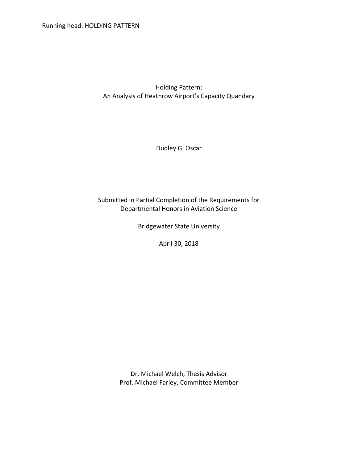Holding Pattern: An Analysis of Heathrow Airport's Capacity Quandary

Dudley G. Oscar

Submitted in Partial Completion of the Requirements for Departmental Honors in Aviation Science

Bridgewater State University

April 30, 2018

Dr. Michael Welch, Thesis Advisor Prof. Michael Farley, Committee Member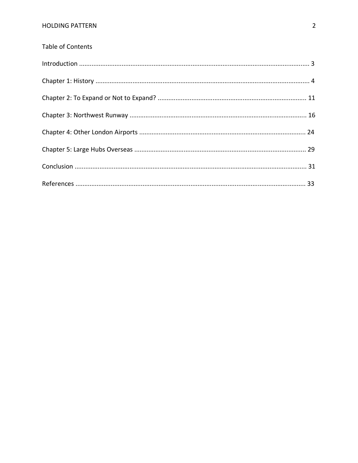| Table of Contents |  |
|-------------------|--|
|                   |  |
|                   |  |
|                   |  |
|                   |  |
|                   |  |
|                   |  |
|                   |  |
|                   |  |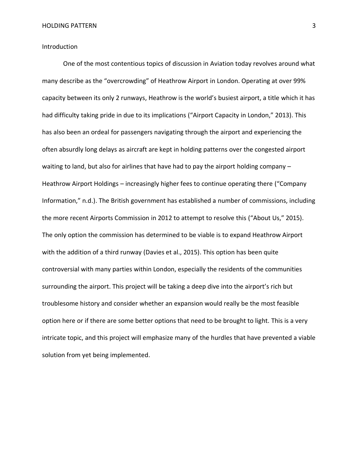Introduction

One of the most contentious topics of discussion in Aviation today revolves around what many describe as the "overcrowding" of Heathrow Airport in London. Operating at over 99% capacity between its only 2 runways, Heathrow is the world's busiest airport, a title which it has had difficulty taking pride in due to its implications ("Airport Capacity in London," 2013). This has also been an ordeal for passengers navigating through the airport and experiencing the often absurdly long delays as aircraft are kept in holding patterns over the congested airport waiting to land, but also for airlines that have had to pay the airport holding company -Heathrow Airport Holdings – increasingly higher fees to continue operating there ("Company Information," n.d.). The British government has established a number of commissions, including the more recent Airports Commission in 2012 to attempt to resolve this ("About Us," 2015). The only option the commission has determined to be viable is to expand Heathrow Airport with the addition of a third runway (Davies et al., 2015). This option has been quite controversial with many parties within London, especially the residents of the communities surrounding the airport. This project will be taking a deep dive into the airport's rich but troublesome history and consider whether an expansion would really be the most feasible option here or if there are some better options that need to be brought to light. This is a very intricate topic, and this project will emphasize many of the hurdles that have prevented a viable solution from yet being implemented.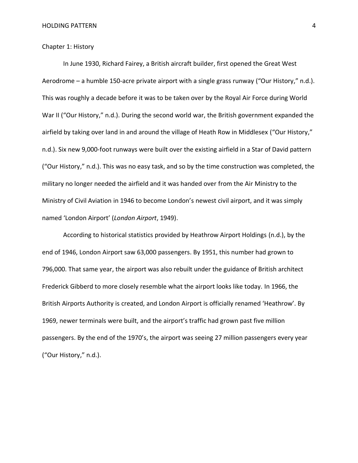## Chapter 1: History

In June 1930, Richard Fairey, a British aircraft builder, first opened the Great West Aerodrome – a humble 150-acre private airport with a single grass runway ("Our History," n.d.). This was roughly a decade before it was to be taken over by the Royal Air Force during World War II ("Our History," n.d.). During the second world war, the British government expanded the airfield by taking over land in and around the village of Heath Row in Middlesex ("Our History," n.d.). Six new 9,000-foot runways were built over the existing airfield in a Star of David pattern ("Our History," n.d.). This was no easy task, and so by the time construction was completed, the military no longer needed the airfield and it was handed over from the Air Ministry to the Ministry of Civil Aviation in 1946 to become London's newest civil airport, and it was simply named 'London Airport' (*London Airport*, 1949).

According to historical statistics provided by Heathrow Airport Holdings (n.d.), by the end of 1946, London Airport saw 63,000 passengers. By 1951, this number had grown to 796,000. That same year, the airport was also rebuilt under the guidance of British architect Frederick Gibberd to more closely resemble what the airport looks like today. In 1966, the British Airports Authority is created, and London Airport is officially renamed 'Heathrow'. By 1969, newer terminals were built, and the airport's traffic had grown past five million passengers. By the end of the 1970's, the airport was seeing 27 million passengers every year ("Our History," n.d.).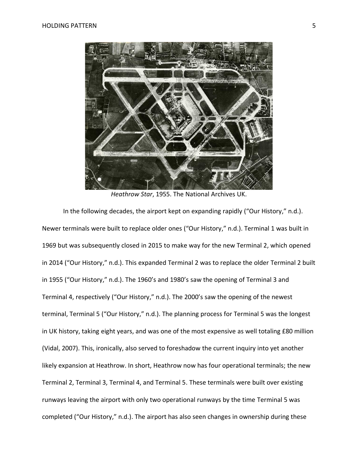

*Heathrow Star*, 1955. The National Archives UK.

In the following decades, the airport kept on expanding rapidly ("Our History," n.d.). Newer terminals were built to replace older ones ("Our History," n.d.). Terminal 1 was built in 1969 but was subsequently closed in 2015 to make way for the new Terminal 2, which opened in 2014 ("Our History," n.d.). This expanded Terminal 2 was to replace the older Terminal 2 built in 1955 ("Our History," n.d.). The 1960's and 1980's saw the opening of Terminal 3 and Terminal 4, respectively ("Our History," n.d.). The 2000's saw the opening of the newest terminal, Terminal 5 ("Our History," n.d.). The planning process for Terminal 5 was the longest in UK history, taking eight years, and was one of the most expensive as well totaling £80 million (Vidal, 2007). This, ironically, also served to foreshadow the current inquiry into yet another likely expansion at Heathrow. In short, Heathrow now has four operational terminals; the new Terminal 2, Terminal 3, Terminal 4, and Terminal 5. These terminals were built over existing runways leaving the airport with only two operational runways by the time Terminal 5 was completed ("Our History," n.d.). The airport has also seen changes in ownership during these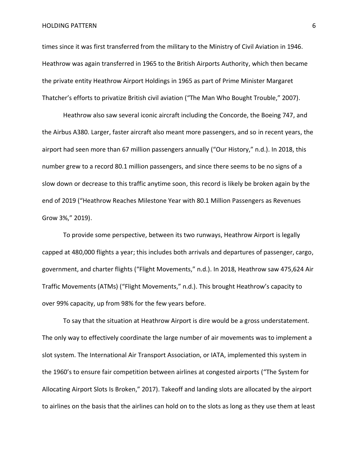times since it was first transferred from the military to the Ministry of Civil Aviation in 1946. Heathrow was again transferred in 1965 to the British Airports Authority, which then became the private entity Heathrow Airport Holdings in 1965 as part of Prime Minister Margaret Thatcher's efforts to privatize British civil aviation ("The Man Who Bought Trouble," 2007).

Heathrow also saw several iconic aircraft including the Concorde, the Boeing 747, and the Airbus A380. Larger, faster aircraft also meant more passengers, and so in recent years, the airport had seen more than 67 million passengers annually ("Our History," n.d.). In 2018, this number grew to a record 80.1 million passengers, and since there seems to be no signs of a slow down or decrease to this traffic anytime soon, this record is likely be broken again by the end of 2019 ("Heathrow Reaches Milestone Year with 80.1 Million Passengers as Revenues Grow 3%," 2019).

To provide some perspective, between its two runways, Heathrow Airport is legally capped at 480,000 flights a year; this includes both arrivals and departures of passenger, cargo, government, and charter flights ("Flight Movements," n.d.). In 2018, Heathrow saw 475,624 Air Traffic Movements (ATMs) ("Flight Movements," n.d.). This brought Heathrow's capacity to over 99% capacity, up from 98% for the few years before.

To say that the situation at Heathrow Airport is dire would be a gross understatement. The only way to effectively coordinate the large number of air movements was to implement a slot system. The International Air Transport Association, or IATA, implemented this system in the 1960's to ensure fair competition between airlines at congested airports ("The System for Allocating Airport Slots Is Broken," 2017). Takeoff and landing slots are allocated by the airport to airlines on the basis that the airlines can hold on to the slots as long as they use them at least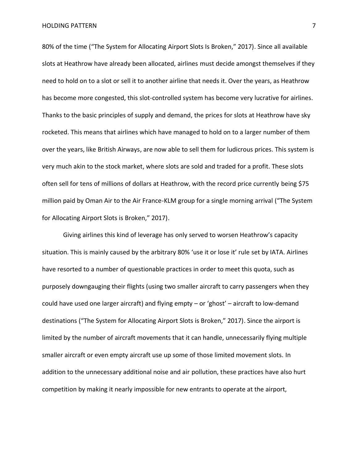80% of the time ("The System for Allocating Airport Slots Is Broken," 2017). Since all available slots at Heathrow have already been allocated, airlines must decide amongst themselves if they need to hold on to a slot or sell it to another airline that needs it. Over the years, as Heathrow has become more congested, this slot-controlled system has become very lucrative for airlines. Thanks to the basic principles of supply and demand, the prices for slots at Heathrow have sky rocketed. This means that airlines which have managed to hold on to a larger number of them over the years, like British Airways, are now able to sell them for ludicrous prices. This system is very much akin to the stock market, where slots are sold and traded for a profit. These slots often sell for tens of millions of dollars at Heathrow, with the record price currently being \$75 million paid by Oman Air to the Air France-KLM group for a single morning arrival ("The System for Allocating Airport Slots is Broken," 2017).

Giving airlines this kind of leverage has only served to worsen Heathrow's capacity situation. This is mainly caused by the arbitrary 80% 'use it or lose it' rule set by IATA. Airlines have resorted to a number of questionable practices in order to meet this quota, such as purposely downgauging their flights (using two smaller aircraft to carry passengers when they could have used one larger aircraft) and flying empty – or 'ghost' – aircraft to low-demand destinations ("The System for Allocating Airport Slots is Broken," 2017). Since the airport is limited by the number of aircraft movements that it can handle, unnecessarily flying multiple smaller aircraft or even empty aircraft use up some of those limited movement slots. In addition to the unnecessary additional noise and air pollution, these practices have also hurt competition by making it nearly impossible for new entrants to operate at the airport,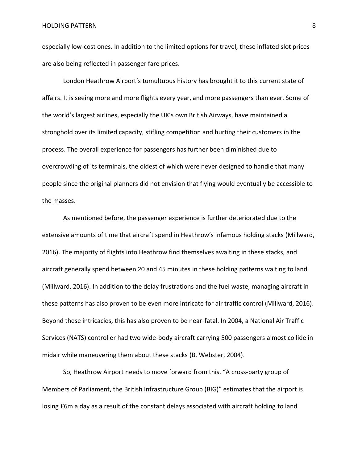especially low-cost ones. In addition to the limited options for travel, these inflated slot prices are also being reflected in passenger fare prices.

London Heathrow Airport's tumultuous history has brought it to this current state of affairs. It is seeing more and more flights every year, and more passengers than ever. Some of the world's largest airlines, especially the UK's own British Airways, have maintained a stronghold over its limited capacity, stifling competition and hurting their customers in the process. The overall experience for passengers has further been diminished due to overcrowding of its terminals, the oldest of which were never designed to handle that many people since the original planners did not envision that flying would eventually be accessible to the masses.

As mentioned before, the passenger experience is further deteriorated due to the extensive amounts of time that aircraft spend in Heathrow's infamous holding stacks (Millward, 2016). The majority of flights into Heathrow find themselves awaiting in these stacks, and aircraft generally spend between 20 and 45 minutes in these holding patterns waiting to land (Millward, 2016). In addition to the delay frustrations and the fuel waste, managing aircraft in these patterns has also proven to be even more intricate for air traffic control (Millward, 2016). Beyond these intricacies, this has also proven to be near-fatal. In 2004, a National Air Traffic Services (NATS) controller had two wide-body aircraft carrying 500 passengers almost collide in midair while maneuvering them about these stacks (B. Webster, 2004).

So, Heathrow Airport needs to move forward from this. "A cross-party group of Members of Parliament, the British Infrastructure Group (BIG)" estimates that the airport is losing £6m a day as a result of the constant delays associated with aircraft holding to land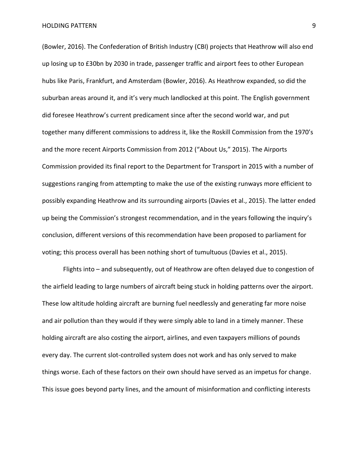(Bowler, 2016). The Confederation of British Industry (CBI) projects that Heathrow will also end up losing up to £30bn by 2030 in trade, passenger traffic and airport fees to other European hubs like Paris, Frankfurt, and Amsterdam (Bowler, 2016). As Heathrow expanded, so did the suburban areas around it, and it's very much landlocked at this point. The English government did foresee Heathrow's current predicament since after the second world war, and put together many different commissions to address it, like the Roskill Commission from the 1970's and the more recent Airports Commission from 2012 ("About Us," 2015). The Airports Commission provided its final report to the Department for Transport in 2015 with a number of suggestions ranging from attempting to make the use of the existing runways more efficient to possibly expanding Heathrow and its surrounding airports (Davies et al., 2015). The latter ended up being the Commission's strongest recommendation, and in the years following the inquiry's conclusion, different versions of this recommendation have been proposed to parliament for voting; this process overall has been nothing short of tumultuous (Davies et al., 2015).

Flights into – and subsequently, out of Heathrow are often delayed due to congestion of the airfield leading to large numbers of aircraft being stuck in holding patterns over the airport. These low altitude holding aircraft are burning fuel needlessly and generating far more noise and air pollution than they would if they were simply able to land in a timely manner. These holding aircraft are also costing the airport, airlines, and even taxpayers millions of pounds every day. The current slot-controlled system does not work and has only served to make things worse. Each of these factors on their own should have served as an impetus for change. This issue goes beyond party lines, and the amount of misinformation and conflicting interests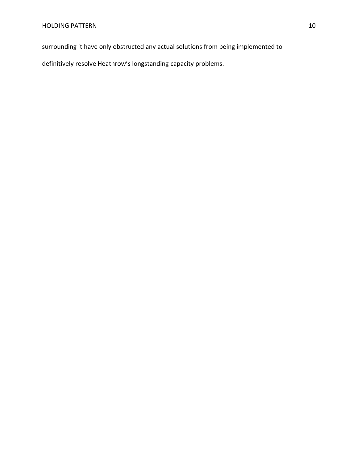surrounding it have only obstructed any actual solutions from being implemented to

definitively resolve Heathrow's longstanding capacity problems.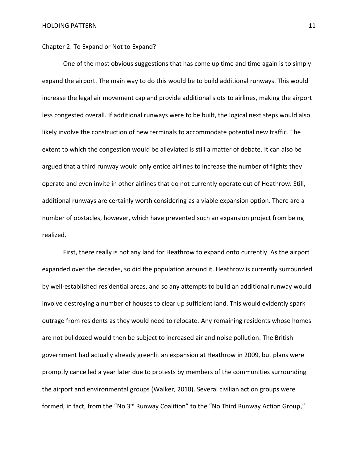Chapter 2: To Expand or Not to Expand?

One of the most obvious suggestions that has come up time and time again is to simply expand the airport. The main way to do this would be to build additional runways. This would increase the legal air movement cap and provide additional slots to airlines, making the airport less congested overall. If additional runways were to be built, the logical next steps would also likely involve the construction of new terminals to accommodate potential new traffic. The extent to which the congestion would be alleviated is still a matter of debate. It can also be argued that a third runway would only entice airlines to increase the number of flights they operate and even invite in other airlines that do not currently operate out of Heathrow. Still, additional runways are certainly worth considering as a viable expansion option. There are a number of obstacles, however, which have prevented such an expansion project from being realized.

First, there really is not any land for Heathrow to expand onto currently. As the airport expanded over the decades, so did the population around it. Heathrow is currently surrounded by well-established residential areas, and so any attempts to build an additional runway would involve destroying a number of houses to clear up sufficient land. This would evidently spark outrage from residents as they would need to relocate. Any remaining residents whose homes are not bulldozed would then be subject to increased air and noise pollution. The British government had actually already greenlit an expansion at Heathrow in 2009, but plans were promptly cancelled a year later due to protests by members of the communities surrounding the airport and environmental groups (Walker, 2010). Several civilian action groups were formed, in fact, from the "No 3<sup>rd</sup> Runway Coalition" to the "No Third Runway Action Group,"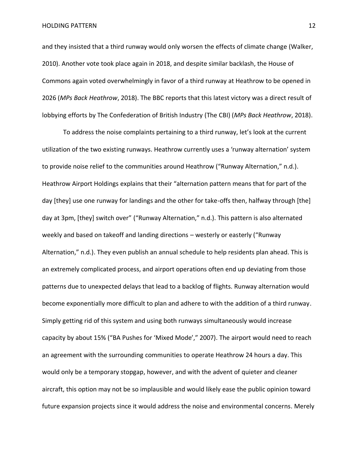and they insisted that a third runway would only worsen the effects of climate change (Walker, 2010). Another vote took place again in 2018, and despite similar backlash, the House of Commons again voted overwhelmingly in favor of a third runway at Heathrow to be opened in 2026 (*MPs Back Heathrow*, 2018). The BBC reports that this latest victory was a direct result of lobbying efforts by The Confederation of British Industry (The CBI) (*MPs Back Heathrow*, 2018).

To address the noise complaints pertaining to a third runway, let's look at the current utilization of the two existing runways. Heathrow currently uses a 'runway alternation' system to provide noise relief to the communities around Heathrow ("Runway Alternation," n.d.). Heathrow Airport Holdings explains that their "alternation pattern means that for part of the day [they] use one runway for landings and the other for take-offs then, halfway through [the] day at 3pm, [they] switch over" ("Runway Alternation," n.d.). This pattern is also alternated weekly and based on takeoff and landing directions – westerly or easterly ("Runway Alternation," n.d.). They even publish an annual schedule to help residents plan ahead. This is an extremely complicated process, and airport operations often end up deviating from those patterns due to unexpected delays that lead to a backlog of flights. Runway alternation would become exponentially more difficult to plan and adhere to with the addition of a third runway. Simply getting rid of this system and using both runways simultaneously would increase capacity by about 15% ("BA Pushes for 'Mixed Mode'," 2007). The airport would need to reach an agreement with the surrounding communities to operate Heathrow 24 hours a day. This would only be a temporary stopgap, however, and with the advent of quieter and cleaner aircraft, this option may not be so implausible and would likely ease the public opinion toward future expansion projects since it would address the noise and environmental concerns. Merely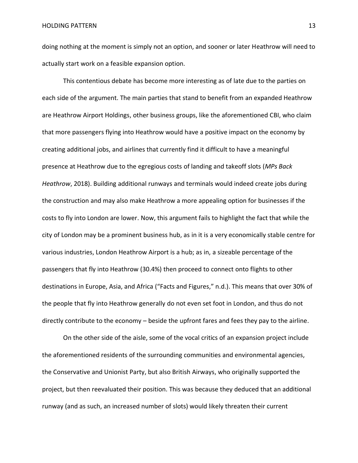doing nothing at the moment is simply not an option, and sooner or later Heathrow will need to actually start work on a feasible expansion option.

This contentious debate has become more interesting as of late due to the parties on each side of the argument. The main parties that stand to benefit from an expanded Heathrow are Heathrow Airport Holdings, other business groups, like the aforementioned CBI, who claim that more passengers flying into Heathrow would have a positive impact on the economy by creating additional jobs, and airlines that currently find it difficult to have a meaningful presence at Heathrow due to the egregious costs of landing and takeoff slots (*MPs Back Heathrow*, 2018). Building additional runways and terminals would indeed create jobs during the construction and may also make Heathrow a more appealing option for businesses if the costs to fly into London are lower. Now, this argument fails to highlight the fact that while the city of London may be a prominent business hub, as in it is a very economically stable centre for various industries, London Heathrow Airport is a hub; as in, a sizeable percentage of the passengers that fly into Heathrow (30.4%) then proceed to connect onto flights to other destinations in Europe, Asia, and Africa ("Facts and Figures," n.d.). This means that over 30% of the people that fly into Heathrow generally do not even set foot in London, and thus do not directly contribute to the economy – beside the upfront fares and fees they pay to the airline.

On the other side of the aisle, some of the vocal critics of an expansion project include the aforementioned residents of the surrounding communities and environmental agencies, the Conservative and Unionist Party, but also British Airways, who originally supported the project, but then reevaluated their position. This was because they deduced that an additional runway (and as such, an increased number of slots) would likely threaten their current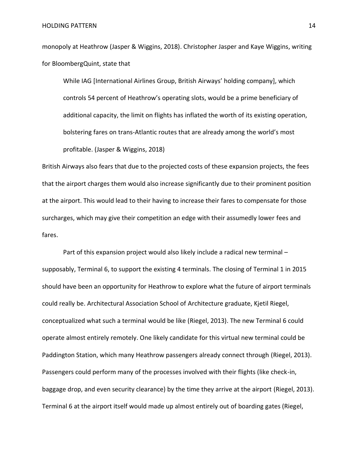monopoly at Heathrow (Jasper & Wiggins, 2018). Christopher Jasper and Kaye Wiggins, writing for BloombergQuint, state that

While IAG [International Airlines Group, British Airways' holding company], which controls 54 percent of Heathrow's operating slots, would be a prime beneficiary of additional capacity, the limit on flights has inflated the worth of its existing operation, bolstering fares on trans-Atlantic routes that are already among the world's most profitable. (Jasper & Wiggins, 2018)

British Airways also fears that due to the projected costs of these expansion projects, the fees that the airport charges them would also increase significantly due to their prominent position at the airport. This would lead to their having to increase their fares to compensate for those surcharges, which may give their competition an edge with their assumedly lower fees and fares.

Part of this expansion project would also likely include a radical new terminal – supposably, Terminal 6, to support the existing 4 terminals. The closing of Terminal 1 in 2015 should have been an opportunity for Heathrow to explore what the future of airport terminals could really be. Architectural Association School of Architecture graduate, Kjetil Riegel, conceptualized what such a terminal would be like (Riegel, 2013). The new Terminal 6 could operate almost entirely remotely. One likely candidate for this virtual new terminal could be Paddington Station, which many Heathrow passengers already connect through (Riegel, 2013). Passengers could perform many of the processes involved with their flights (like check-in, baggage drop, and even security clearance) by the time they arrive at the airport (Riegel, 2013). Terminal 6 at the airport itself would made up almost entirely out of boarding gates (Riegel,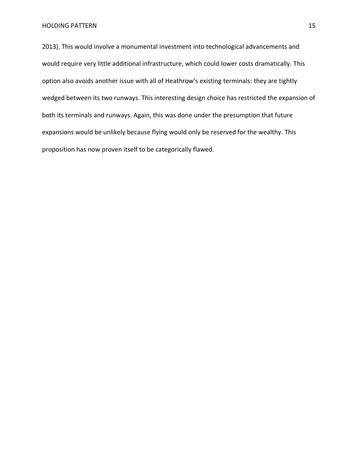2013). This would involve a monumental investment into technological advancements and would require very little additional infrastructure, which could lower costs dramatically. This option also avoids another issue with all of Heathrow's existing terminals: they are tightly wedged between its two runways. This interesting design choice has restricted the expansion of both its terminals and runways. Again, this was done under the presumption that future expansions would be unlikely because flying would only be reserved for the wealthy. This proposition has now proven itself to be categorically flawed.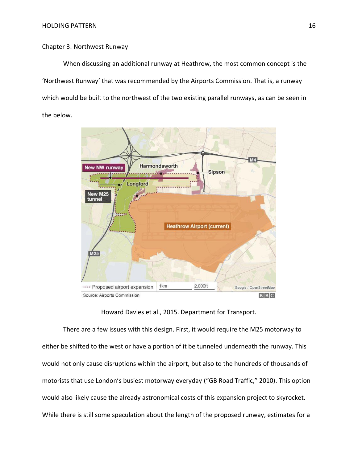## Chapter 3: Northwest Runway

When discussing an additional runway at Heathrow, the most common concept is the 'Northwest Runway' that was recommended by the Airports Commission. That is, a runway which would be built to the northwest of the two existing parallel runways, as can be seen in the below.



## Howard Davies et al., 2015. Department for Transport.

There are a few issues with this design. First, it would require the M25 motorway to either be shifted to the west or have a portion of it be tunneled underneath the runway. This would not only cause disruptions within the airport, but also to the hundreds of thousands of motorists that use London's busiest motorway everyday ("GB Road Traffic," 2010). This option would also likely cause the already astronomical costs of this expansion project to skyrocket. While there is still some speculation about the length of the proposed runway, estimates for a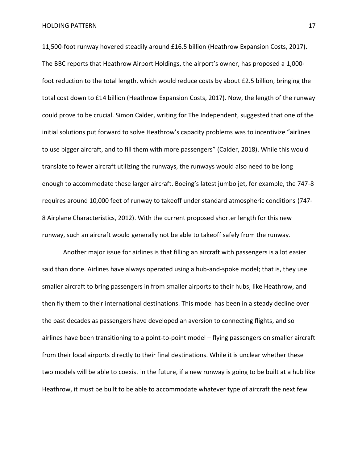11,500-foot runway hovered steadily around £16.5 billion (Heathrow Expansion Costs, 2017). The BBC reports that Heathrow Airport Holdings, the airport's owner, has proposed a 1,000 foot reduction to the total length, which would reduce costs by about £2.5 billion, bringing the total cost down to £14 billion (Heathrow Expansion Costs, 2017). Now, the length of the runway could prove to be crucial. Simon Calder, writing for The Independent, suggested that one of the initial solutions put forward to solve Heathrow's capacity problems was to incentivize "airlines to use bigger aircraft, and to fill them with more passengers" (Calder, 2018). While this would translate to fewer aircraft utilizing the runways, the runways would also need to be long enough to accommodate these larger aircraft. Boeing's latest jumbo jet, for example, the 747-8 requires around 10,000 feet of runway to takeoff under standard atmospheric conditions (747- 8 Airplane Characteristics, 2012). With the current proposed shorter length for this new runway, such an aircraft would generally not be able to takeoff safely from the runway.

Another major issue for airlines is that filling an aircraft with passengers is a lot easier said than done. Airlines have always operated using a hub-and-spoke model; that is, they use smaller aircraft to bring passengers in from smaller airports to their hubs, like Heathrow, and then fly them to their international destinations. This model has been in a steady decline over the past decades as passengers have developed an aversion to connecting flights, and so airlines have been transitioning to a point-to-point model – flying passengers on smaller aircraft from their local airports directly to their final destinations. While it is unclear whether these two models will be able to coexist in the future, if a new runway is going to be built at a hub like Heathrow, it must be built to be able to accommodate whatever type of aircraft the next few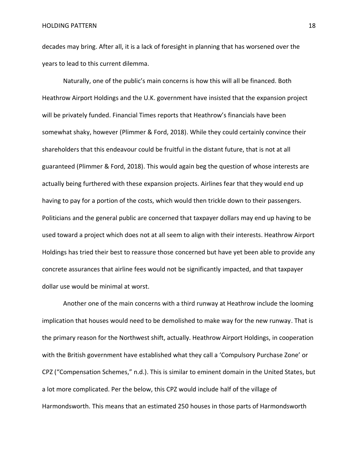decades may bring. After all, it is a lack of foresight in planning that has worsened over the years to lead to this current dilemma.

Naturally, one of the public's main concerns is how this will all be financed. Both Heathrow Airport Holdings and the U.K. government have insisted that the expansion project will be privately funded. Financial Times reports that Heathrow's financials have been somewhat shaky, however (Plimmer & Ford, 2018). While they could certainly convince their shareholders that this endeavour could be fruitful in the distant future, that is not at all guaranteed (Plimmer & Ford, 2018). This would again beg the question of whose interests are actually being furthered with these expansion projects. Airlines fear that they would end up having to pay for a portion of the costs, which would then trickle down to their passengers. Politicians and the general public are concerned that taxpayer dollars may end up having to be used toward a project which does not at all seem to align with their interests. Heathrow Airport Holdings has tried their best to reassure those concerned but have yet been able to provide any concrete assurances that airline fees would not be significantly impacted, and that taxpayer dollar use would be minimal at worst.

Another one of the main concerns with a third runway at Heathrow include the looming implication that houses would need to be demolished to make way for the new runway. That is the primary reason for the Northwest shift, actually. Heathrow Airport Holdings, in cooperation with the British government have established what they call a 'Compulsory Purchase Zone' or CPZ ("Compensation Schemes," n.d.). This is similar to eminent domain in the United States, but a lot more complicated. Per the below, this CPZ would include half of the village of Harmondsworth. This means that an estimated 250 houses in those parts of Harmondsworth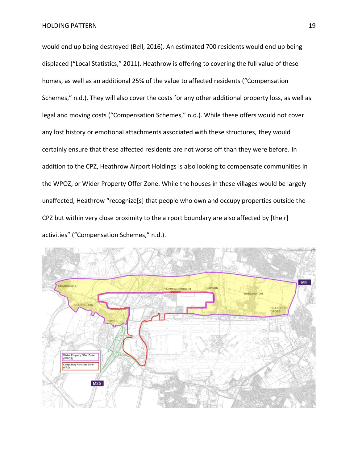would end up being destroyed (Bell, 2016). An estimated 700 residents would end up being displaced ("Local Statistics," 2011). Heathrow is offering to covering the full value of these homes, as well as an additional 25% of the value to affected residents ("Compensation Schemes," n.d.). They will also cover the costs for any other additional property loss, as well as legal and moving costs ("Compensation Schemes," n.d.). While these offers would not cover any lost history or emotional attachments associated with these structures, they would certainly ensure that these affected residents are not worse off than they were before. In addition to the CPZ, Heathrow Airport Holdings is also looking to compensate communities in the WPOZ, or Wider Property Offer Zone. While the houses in these villages would be largely unaffected, Heathrow "recognize[s] that people who own and occupy properties outside the CPZ but within very close proximity to the airport boundary are also affected by [their] activities" ("Compensation Schemes," n.d.).

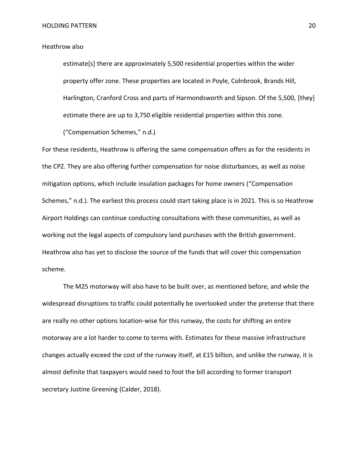## Heathrow also

estimate[s] there are approximately 5,500 residential properties within the wider property offer zone. These properties are located in Poyle, Colnbrook, Brands Hill, Harlington, Cranford Cross and parts of Harmondsworth and Sipson. Of the 5,500, [they] estimate there are up to 3,750 eligible residential properties within this zone.

("Compensation Schemes," n.d.)

For these residents, Heathrow is offering the same compensation offers as for the residents in the CPZ. They are also offering further compensation for noise disturbances, as well as noise mitigation options, which include insulation packages for home owners ("Compensation Schemes," n.d.). The earliest this process could start taking place is in 2021. This is so Heathrow Airport Holdings can continue conducting consultations with these communities, as well as working out the legal aspects of compulsory land purchases with the British government. Heathrow also has yet to disclose the source of the funds that will cover this compensation scheme.

The M25 motorway will also have to be built over, as mentioned before, and while the widespread disruptions to traffic could potentially be overlooked under the pretense that there are really no other options location-wise for this runway, the costs for shifting an entire motorway are a lot harder to come to terms with. Estimates for these massive infrastructure changes actually exceed the cost of the runway itself, at £15 billion, and unlike the runway, it is almost definite that taxpayers would need to foot the bill according to former transport secretary Justine Greening (Calder, 2018).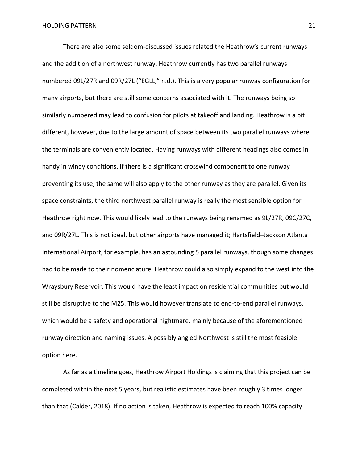There are also some seldom-discussed issues related the Heathrow's current runways and the addition of a northwest runway. Heathrow currently has two parallel runways numbered 09L/27R and 09R/27L ("EGLL," n.d.). This is a very popular runway configuration for many airports, but there are still some concerns associated with it. The runways being so similarly numbered may lead to confusion for pilots at takeoff and landing. Heathrow is a bit different, however, due to the large amount of space between its two parallel runways where the terminals are conveniently located. Having runways with different headings also comes in handy in windy conditions. If there is a significant crosswind component to one runway preventing its use, the same will also apply to the other runway as they are parallel. Given its space constraints, the third northwest parallel runway is really the most sensible option for Heathrow right now. This would likely lead to the runways being renamed as 9L/27R, 09C/27C, and 09R/27L. This is not ideal, but other airports have managed it; Hartsfield–Jackson Atlanta International Airport, for example, has an astounding 5 parallel runways, though some changes had to be made to their nomenclature. Heathrow could also simply expand to the west into the Wraysbury Reservoir. This would have the least impact on residential communities but would still be disruptive to the M25. This would however translate to end-to-end parallel runways, which would be a safety and operational nightmare, mainly because of the aforementioned runway direction and naming issues. A possibly angled Northwest is still the most feasible option here.

As far as a timeline goes, Heathrow Airport Holdings is claiming that this project can be completed within the next 5 years, but realistic estimates have been roughly 3 times longer than that (Calder, 2018). If no action is taken, Heathrow is expected to reach 100% capacity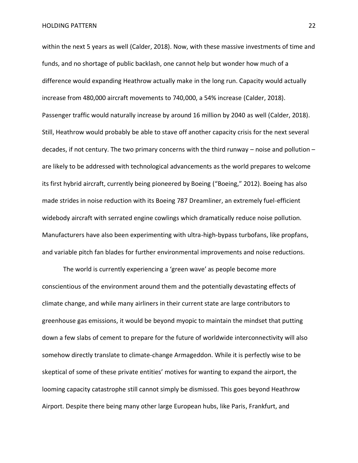within the next 5 years as well (Calder, 2018). Now, with these massive investments of time and funds, and no shortage of public backlash, one cannot help but wonder how much of a difference would expanding Heathrow actually make in the long run. Capacity would actually increase from 480,000 aircraft movements to 740,000, a 54% increase (Calder, 2018). Passenger traffic would naturally increase by around 16 million by 2040 as well (Calder, 2018). Still, Heathrow would probably be able to stave off another capacity crisis for the next several decades, if not century. The two primary concerns with the third runway – noise and pollution – are likely to be addressed with technological advancements as the world prepares to welcome its first hybrid aircraft, currently being pioneered by Boeing ("Boeing," 2012). Boeing has also made strides in noise reduction with its Boeing 787 Dreamliner, an extremely fuel-efficient widebody aircraft with serrated engine cowlings which dramatically reduce noise pollution. Manufacturers have also been experimenting with ultra-high-bypass turbofans, like propfans, and variable pitch fan blades for further environmental improvements and noise reductions.

The world is currently experiencing a 'green wave' as people become more conscientious of the environment around them and the potentially devastating effects of climate change, and while many airliners in their current state are large contributors to greenhouse gas emissions, it would be beyond myopic to maintain the mindset that putting down a few slabs of cement to prepare for the future of worldwide interconnectivity will also somehow directly translate to climate-change Armageddon. While it is perfectly wise to be skeptical of some of these private entities' motives for wanting to expand the airport, the looming capacity catastrophe still cannot simply be dismissed. This goes beyond Heathrow Airport. Despite there being many other large European hubs, like Paris, Frankfurt, and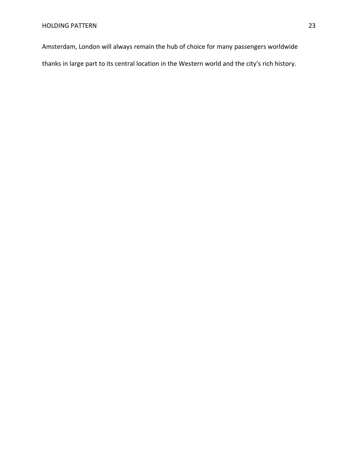Amsterdam, London will always remain the hub of choice for many passengers worldwide

thanks in large part to its central location in the Western world and the city's rich history.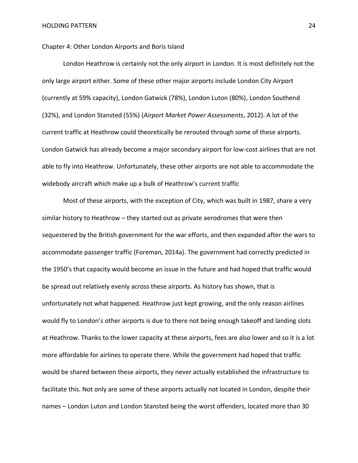Chapter 4: Other London Airports and Boris Island

London Heathrow is certainly not the only airport in London. It is most definitely not the only large airport either. Some of these other major airports include London City Airport (currently at 59% capacity), London Gatwick (78%), London Luton (80%), London Southend (32%), and London Stansted (55%) (*Airport Market Power Assessments*, 2012). A lot of the current traffic at Heathrow could theoretically be rerouted through some of these airports. London Gatwick has already become a major secondary airport for low-cost airlines that are not able to fly into Heathrow. Unfortunately, these other airports are not able to accommodate the widebody aircraft which make up a bulk of Heathrow's current traffic

Most of these airports, with the exception of City, which was built in 1987, share a very similar history to Heathrow – they started out as private aerodromes that were then sequestered by the British government for the war efforts, and then expanded after the wars to accommodate passenger traffic (Foreman, 2014a). The government had correctly predicted in the 1950's that capacity would become an issue in the future and had hoped that traffic would be spread out relatively evenly across these airports. As history has shown, that is unfortunately not what happened. Heathrow just kept growing, and the only reason airlines would fly to London's other airports is due to there not being enough takeoff and landing slots at Heathrow. Thanks to the lower capacity at these airports, fees are also lower and so it is a lot more affordable for airlines to operate there. While the government had hoped that traffic would be shared between these airports, they never actually established the infrastructure to facilitate this. Not only are some of these airports actually not located in London, despite their names – London Luton and London Stansted being the worst offenders, located more than 30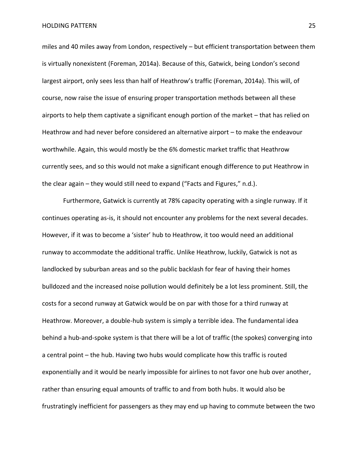miles and 40 miles away from London, respectively – but efficient transportation between them is virtually nonexistent (Foreman, 2014a). Because of this, Gatwick, being London's second largest airport, only sees less than half of Heathrow's traffic (Foreman, 2014a). This will, of course, now raise the issue of ensuring proper transportation methods between all these airports to help them captivate a significant enough portion of the market – that has relied on Heathrow and had never before considered an alternative airport – to make the endeavour worthwhile. Again, this would mostly be the 6% domestic market traffic that Heathrow currently sees, and so this would not make a significant enough difference to put Heathrow in the clear again – they would still need to expand ("Facts and Figures," n.d.).

Furthermore, Gatwick is currently at 78% capacity operating with a single runway. If it continues operating as-is, it should not encounter any problems for the next several decades. However, if it was to become a 'sister' hub to Heathrow, it too would need an additional runway to accommodate the additional traffic. Unlike Heathrow, luckily, Gatwick is not as landlocked by suburban areas and so the public backlash for fear of having their homes bulldozed and the increased noise pollution would definitely be a lot less prominent. Still, the costs for a second runway at Gatwick would be on par with those for a third runway at Heathrow. Moreover, a double-hub system is simply a terrible idea. The fundamental idea behind a hub-and-spoke system is that there will be a lot of traffic (the spokes) converging into a central point – the hub. Having two hubs would complicate how this traffic is routed exponentially and it would be nearly impossible for airlines to not favor one hub over another, rather than ensuring equal amounts of traffic to and from both hubs. It would also be frustratingly inefficient for passengers as they may end up having to commute between the two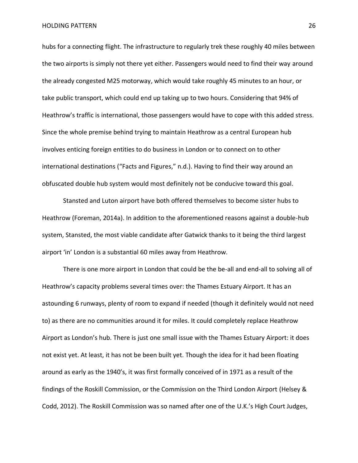hubs for a connecting flight. The infrastructure to regularly trek these roughly 40 miles between the two airports is simply not there yet either. Passengers would need to find their way around the already congested M25 motorway, which would take roughly 45 minutes to an hour, or take public transport, which could end up taking up to two hours. Considering that 94% of Heathrow's traffic is international, those passengers would have to cope with this added stress. Since the whole premise behind trying to maintain Heathrow as a central European hub involves enticing foreign entities to do business in London or to connect on to other international destinations ("Facts and Figures," n.d.). Having to find their way around an obfuscated double hub system would most definitely not be conducive toward this goal.

Stansted and Luton airport have both offered themselves to become sister hubs to Heathrow (Foreman, 2014a). In addition to the aforementioned reasons against a double-hub system, Stansted, the most viable candidate after Gatwick thanks to it being the third largest airport 'in' London is a substantial 60 miles away from Heathrow.

There is one more airport in London that could be the be-all and end-all to solving all of Heathrow's capacity problems several times over: the Thames Estuary Airport. It has an astounding 6 runways, plenty of room to expand if needed (though it definitely would not need to) as there are no communities around it for miles. It could completely replace Heathrow Airport as London's hub. There is just one small issue with the Thames Estuary Airport: it does not exist yet. At least, it has not be been built yet. Though the idea for it had been floating around as early as the 1940's, it was first formally conceived of in 1971 as a result of the findings of the Roskill Commission, or the Commission on the Third London Airport (Helsey & Codd, 2012). The Roskill Commission was so named after one of the U.K.'s High Court Judges,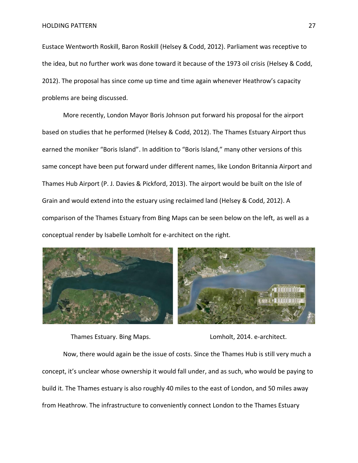Eustace Wentworth Roskill, Baron Roskill (Helsey & Codd, 2012). Parliament was receptive to the idea, but no further work was done toward it because of the 1973 oil crisis (Helsey & Codd, 2012). The proposal has since come up time and time again whenever Heathrow's capacity problems are being discussed.

More recently, London Mayor Boris Johnson put forward his proposal for the airport based on studies that he performed (Helsey & Codd, 2012). The Thames Estuary Airport thus earned the moniker "Boris Island". In addition to "Boris Island," many other versions of this same concept have been put forward under different names, like London Britannia Airport and Thames Hub Airport (P. J. Davies & Pickford, 2013). The airport would be built on the Isle of Grain and would extend into the estuary using reclaimed land (Helsey & Codd, 2012). A comparison of the Thames Estuary from Bing Maps can be seen below on the left, as well as a conceptual render by Isabelle Lomholt for e-architect on the right.



Thames Estuary. Bing Maps. Lomholt, 2014. e-architect.

Now, there would again be the issue of costs. Since the Thames Hub is still very much a concept, it's unclear whose ownership it would fall under, and as such, who would be paying to build it. The Thames estuary is also roughly 40 miles to the east of London, and 50 miles away from Heathrow. The infrastructure to conveniently connect London to the Thames Estuary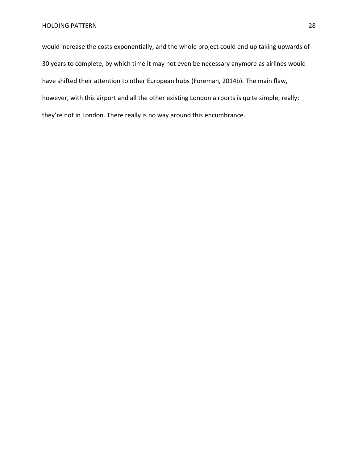would increase the costs exponentially, and the whole project could end up taking upwards of 30 years to complete, by which time it may not even be necessary anymore as airlines would have shifted their attention to other European hubs (Foreman, 2014b). The main flaw, however, with this airport and all the other existing London airports is quite simple, really: they're not in London. There really is no way around this encumbrance.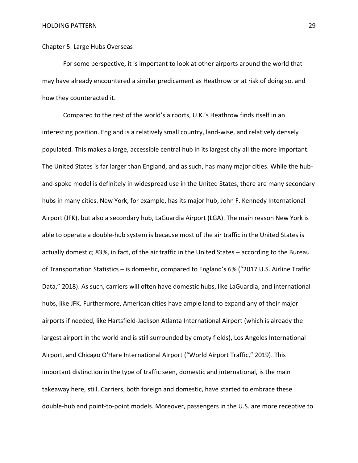## Chapter 5: Large Hubs Overseas

For some perspective, it is important to look at other airports around the world that may have already encountered a similar predicament as Heathrow or at risk of doing so, and how they counteracted it.

Compared to the rest of the world's airports, U.K.'s Heathrow finds itself in an interesting position. England is a relatively small country, land-wise, and relatively densely populated. This makes a large, accessible central hub in its largest city all the more important. The United States is far larger than England, and as such, has many major cities. While the huband-spoke model is definitely in widespread use in the United States, there are many secondary hubs in many cities. New York, for example, has its major hub, John F. Kennedy International Airport (JFK), but also a secondary hub, LaGuardia Airport (LGA). The main reason New York is able to operate a double-hub system is because most of the air traffic in the United States is actually domestic; 83%, in fact, of the air traffic in the United States – according to the Bureau of Transportation Statistics – is domestic, compared to England's 6% ("2017 U.S. Airline Traffic Data," 2018). As such, carriers will often have domestic hubs, like LaGuardia, and international hubs, like JFK. Furthermore, American cities have ample land to expand any of their major airports if needed, like Hartsfield-Jackson Atlanta International Airport (which is already the largest airport in the world and is still surrounded by empty fields), Los Angeles International Airport, and Chicago O'Hare International Airport ("World Airport Traffic," 2019). This important distinction in the type of traffic seen, domestic and international, is the main takeaway here, still. Carriers, both foreign and domestic, have started to embrace these double-hub and point-to-point models. Moreover, passengers in the U.S. are more receptive to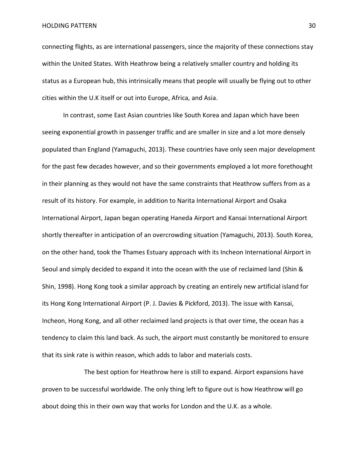connecting flights, as are international passengers, since the majority of these connections stay within the United States. With Heathrow being a relatively smaller country and holding its status as a European hub, this intrinsically means that people will usually be flying out to other cities within the U.K itself or out into Europe, Africa, and Asia.

In contrast, some East Asian countries like South Korea and Japan which have been seeing exponential growth in passenger traffic and are smaller in size and a lot more densely populated than England (Yamaguchi, 2013). These countries have only seen major development for the past few decades however, and so their governments employed a lot more forethought in their planning as they would not have the same constraints that Heathrow suffers from as a result of its history. For example, in addition to Narita International Airport and Osaka International Airport, Japan began operating Haneda Airport and Kansai International Airport shortly thereafter in anticipation of an overcrowding situation (Yamaguchi, 2013). South Korea, on the other hand, took the Thames Estuary approach with its Incheon International Airport in Seoul and simply decided to expand it into the ocean with the use of reclaimed land (Shin & Shin, 1998). Hong Kong took a similar approach by creating an entirely new artificial island for its Hong Kong International Airport (P. J. Davies & Pickford, 2013). The issue with Kansai, Incheon, Hong Kong, and all other reclaimed land projects is that over time, the ocean has a tendency to claim this land back. As such, the airport must constantly be monitored to ensure that its sink rate is within reason, which adds to labor and materials costs.

The best option for Heathrow here is still to expand. Airport expansions have proven to be successful worldwide. The only thing left to figure out is how Heathrow will go about doing this in their own way that works for London and the U.K. as a whole.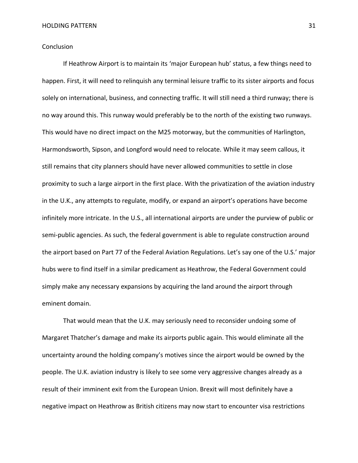## Conclusion

If Heathrow Airport is to maintain its 'major European hub' status, a few things need to happen. First, it will need to relinquish any terminal leisure traffic to its sister airports and focus solely on international, business, and connecting traffic. It will still need a third runway; there is no way around this. This runway would preferably be to the north of the existing two runways. This would have no direct impact on the M25 motorway, but the communities of Harlington, Harmondsworth, Sipson, and Longford would need to relocate. While it may seem callous, it still remains that city planners should have never allowed communities to settle in close proximity to such a large airport in the first place. With the privatization of the aviation industry in the U.K., any attempts to regulate, modify, or expand an airport's operations have become infinitely more intricate. In the U.S., all international airports are under the purview of public or semi-public agencies. As such, the federal government is able to regulate construction around the airport based on Part 77 of the Federal Aviation Regulations. Let's say one of the U.S.' major hubs were to find itself in a similar predicament as Heathrow, the Federal Government could simply make any necessary expansions by acquiring the land around the airport through eminent domain.

That would mean that the U.K. may seriously need to reconsider undoing some of Margaret Thatcher's damage and make its airports public again. This would eliminate all the uncertainty around the holding company's motives since the airport would be owned by the people. The U.K. aviation industry is likely to see some very aggressive changes already as a result of their imminent exit from the European Union. Brexit will most definitely have a negative impact on Heathrow as British citizens may now start to encounter visa restrictions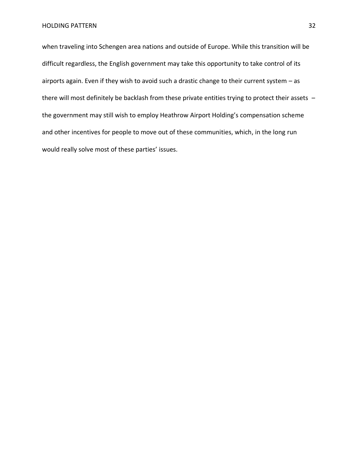when traveling into Schengen area nations and outside of Europe. While this transition will be difficult regardless, the English government may take this opportunity to take control of its airports again. Even if they wish to avoid such a drastic change to their current system – as there will most definitely be backlash from these private entities trying to protect their assets – the government may still wish to employ Heathrow Airport Holding's compensation scheme and other incentives for people to move out of these communities, which, in the long run would really solve most of these parties' issues.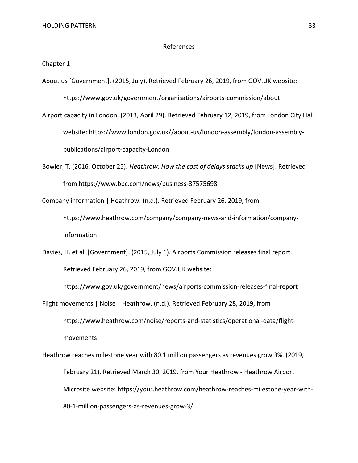information

#### References

Chapter 1

About us [Government]. (2015, July). Retrieved February 26, 2019, from GOV.UK website:

https://www.gov.uk/government/organisations/airports-commission/about

Airport capacity in London. (2013, April 29). Retrieved February 12, 2019, from London City Hall website: https://www.london.gov.uk//about-us/london-assembly/london-assemblypublications/airport-capacity-London

Bowler, T. (2016, October 25). *Heathrow: How the cost of delays stacks up* [News]. Retrieved from https://www.bbc.com/news/business-37575698

Company information | Heathrow. (n.d.). Retrieved February 26, 2019, from https://www.heathrow.com/company/company-news-and-information/company-

Davies, H. et al. [Government]. (2015, July 1). Airports Commission releases final report.

Retrieved February 26, 2019, from GOV.UK website:

https://www.gov.uk/government/news/airports-commission-releases-final-report

Flight movements | Noise | Heathrow. (n.d.). Retrieved February 28, 2019, from https://www.heathrow.com/noise/reports-and-statistics/operational-data/flightmovements

Heathrow reaches milestone year with 80.1 million passengers as revenues grow 3%. (2019, February 21). Retrieved March 30, 2019, from Your Heathrow - Heathrow Airport Microsite website: https://your.heathrow.com/heathrow-reaches-milestone-year-with-80-1-million-passengers-as-revenues-grow-3/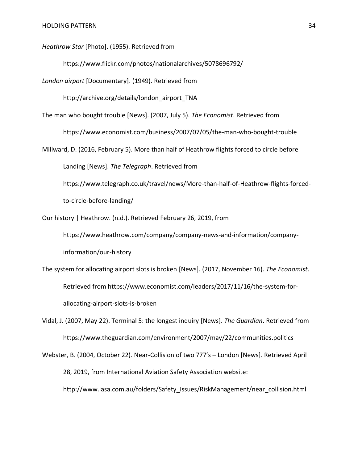*Heathrow Star* [Photo]. (1955). Retrieved from

https://www.flickr.com/photos/nationalarchives/5078696792/

*London airport* [Documentary]. (1949). Retrieved from

http://archive.org/details/london\_airport\_TNA

The man who bought trouble [News]. (2007, July 5). *The Economist*. Retrieved from

https://www.economist.com/business/2007/07/05/the-man-who-bought-trouble

Millward, D. (2016, February 5). More than half of Heathrow flights forced to circle before Landing [News]. *The Telegraph*. Retrieved from

https://www.telegraph.co.uk/travel/news/More-than-half-of-Heathrow-flights-forcedto-circle-before-landing/

Our history | Heathrow. (n.d.). Retrieved February 26, 2019, from

https://www.heathrow.com/company/company-news-and-information/companyinformation/our-history

The system for allocating airport slots is broken [News]. (2017, November 16). *The Economist*. Retrieved from https://www.economist.com/leaders/2017/11/16/the-system-forallocating-airport-slots-is-broken

Vidal, J. (2007, May 22). Terminal 5: the longest inquiry [News]. *The Guardian*. Retrieved from https://www.theguardian.com/environment/2007/may/22/communities.politics

Webster, B. (2004, October 22). Near-Collision of two 777's – London [News]. Retrieved April 28, 2019, from International Aviation Safety Association website: http://www.iasa.com.au/folders/Safety\_Issues/RiskManagement/near\_collision.html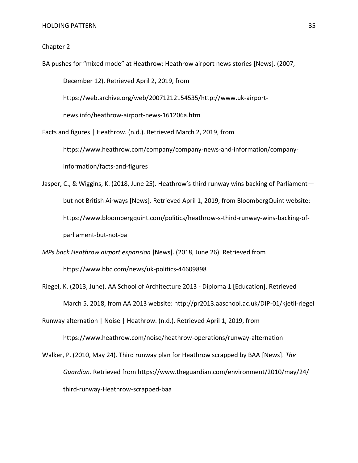#### Chapter 2

BA pushes for "mixed mode" at Heathrow: Heathrow airport news stories [News]. (2007, December 12). Retrieved April 2, 2019, from https://web.archive.org/web/20071212154535/http://www.uk-airportnews.info/heathrow-airport-news-161206a.htm Facts and figures | Heathrow. (n.d.). Retrieved March 2, 2019, from https://www.heathrow.com/company/company-news-and-information/company-

information/facts-and-figures

- Jasper, C., & Wiggins, K. (2018, June 25). Heathrow's third runway wins backing of Parliament but not British Airways [News]. Retrieved April 1, 2019, from BloombergQuint website: https://www.bloombergquint.com/politics/heathrow-s-third-runway-wins-backing-ofparliament-but-not-ba
- *MPs back Heathrow airport expansion* [News]. (2018, June 26). Retrieved from https://www.bbc.com/news/uk-politics-44609898
- Riegel, K. (2013, June). AA School of Architecture 2013 Diploma 1 [Education]. Retrieved March 5, 2018, from AA 2013 website: http://pr2013.aaschool.ac.uk/DIP-01/kjetil-riegel

Runway alternation | Noise | Heathrow. (n.d.). Retrieved April 1, 2019, from

https://www.heathrow.com/noise/heathrow-operations/runway-alternation

Walker, P. (2010, May 24). Third runway plan for Heathrow scrapped by BAA [News]. *The Guardian*. Retrieved from https://www.theguardian.com/environment/2010/may/24/ third-runway-Heathrow-scrapped-baa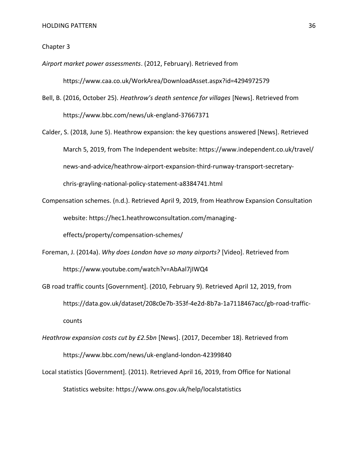#### Chapter 3

*Airport market power assessments*. (2012, February). Retrieved from https://www.caa.co.uk/WorkArea/DownloadAsset.aspx?id=4294972579

- Bell, B. (2016, October 25). *Heathrow's death sentence for villages* [News]. Retrieved from https://www.bbc.com/news/uk-england-37667371
- Calder, S. (2018, June 5). Heathrow expansion: the key questions answered [News]. Retrieved March 5, 2019, from The Independent website: https://www.independent.co.uk/travel/ news-and-advice/heathrow-airport-expansion-third-runway-transport-secretarychris-grayling-national-policy-statement-a8384741.html
- Compensation schemes. (n.d.). Retrieved April 9, 2019, from Heathrow Expansion Consultation website: https://hec1.heathrowconsultation.com/managing-

effects/property/compensation-schemes/

- Foreman, J. (2014a). *Why does London have so many airports?* [Video]. Retrieved from https://www.youtube.com/watch?v=AbAal7jIWQ4
- GB road traffic counts [Government]. (2010, February 9). Retrieved April 12, 2019, from https://data.gov.uk/dataset/208c0e7b-353f-4e2d-8b7a-1a7118467acc/gb-road-trafficcounts
- *Heathrow expansion costs cut by £2.5bn* [News]. (2017, December 18). Retrieved from https://www.bbc.com/news/uk-england-london-42399840
- Local statistics [Government]. (2011). Retrieved April 16, 2019, from Office for National Statistics website: https://www.ons.gov.uk/help/localstatistics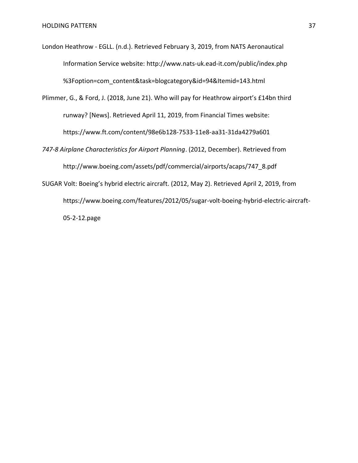London Heathrow - EGLL. (n.d.). Retrieved February 3, 2019, from NATS Aeronautical Information Service website: http://www.nats-uk.ead-it.com/public/index.php %3Foption=com\_content&task=blogcategory&id=94&Itemid=143.html

Plimmer, G., & Ford, J. (2018, June 21). Who will pay for Heathrow airport's £14bn third runway? [News]. Retrieved April 11, 2019, from Financial Times website: https://www.ft.com/content/98e6b128-7533-11e8-aa31-31da4279a601

*747-8 Airplane Characteristics for Airport Planning*. (2012, December). Retrieved from http://www.boeing.com/assets/pdf/commercial/airports/acaps/747\_8.pdf

SUGAR Volt: Boeing's hybrid electric aircraft. (2012, May 2). Retrieved April 2, 2019, from https://www.boeing.com/features/2012/05/sugar-volt-boeing-hybrid-electric-aircraft-05-2-12.page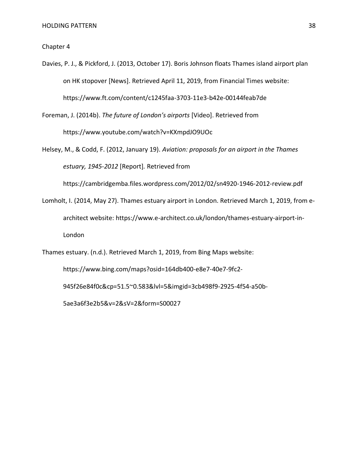Chapter 4

Davies, P. J., & Pickford, J. (2013, October 17). Boris Johnson floats Thames island airport plan on HK stopover [News]. Retrieved April 11, 2019, from Financial Times website: https://www.ft.com/content/c1245faa-3703-11e3-b42e-00144feab7de

Foreman, J. (2014b). *The future of London's airports* [Video]. Retrieved from https://www.youtube.com/watch?v=KXmpdJO9UOc

Helsey, M., & Codd, F. (2012, January 19). *Aviation: proposals for an airport in the Thames estuary, 1945-2012* [Report]*.* Retrieved from

https://cambridgemba.files.wordpress.com/2012/02/sn4920-1946-2012-review.pdf

Lomholt, I. (2014, May 27). Thames estuary airport in London. Retrieved March 1, 2019, from earchitect website: https://www.e-architect.co.uk/london/thames-estuary-airport-in-London

Thames estuary. (n.d.). Retrieved March 1, 2019, from Bing Maps website:

https://www.bing.com/maps?osid=164db400-e8e7-40e7-9fc2-

945f26e84f0c&cp=51.5~0.583&lvl=5&imgid=3cb498f9-2925-4f54-a50b-

5ae3a6f3e2b5&v=2&sV=2&form=S00027